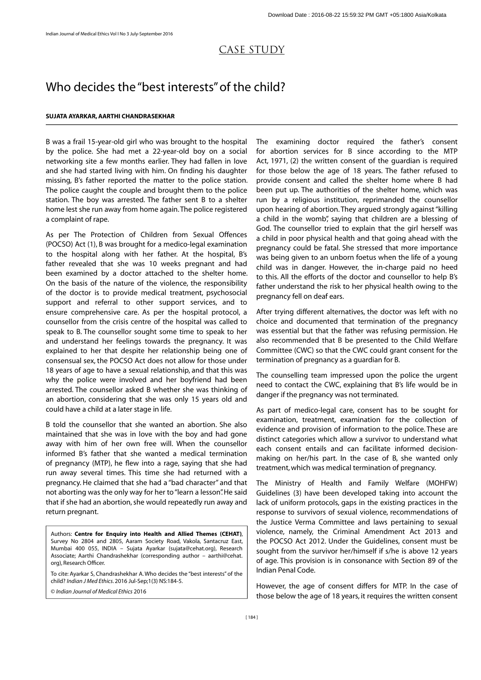# CASE STUDY Who decides the "best interests" of the child?

**SUJATA AYARKAR, AARTHI CHANDRASEKHAR**<br>**B** was a frail 15-year-old girl who was b<br>by the police. She had met a 22-yea B was a frail 15-year-old girl who was brought to the hospital by the police. She had met a 22-year-old boy on a social networking site a few months earlier. They had fallen in love and she had started living with him. On finding his daughter missing, B's father reported the matter to the police station. The police caught the couple and brought them to the police station. The boy was arrested. The father sent B to a shelter home lest she run away from home again. The police registered a complaint of rape.

As per The Protection of Children from Sexual Offences (POCSO) Act (1), B was brought for a medico-legal examination to the hospital along with her father. At the hospital, B's father revealed that she was 10 weeks pregnant and had been examined by a doctor attached to the shelter home. On the basis of the nature of the violence, the responsibility of the doctor is to provide medical treatment, psychosocial support and referral to other support services, and to ensure comprehensive care. As per the hospital protocol, a counsellor from the crisis centre of the hospital was called to speak to B. The counsellor sought some time to speak to her and understand her feelings towards the pregnancy. It was explained to her that despite her relationship being one of consensual sex, the POCSO Act does not allow for those under 18 years of age to have a sexual relationship, and that this was why the police were involved and her boyfriend had been arrested. The counsellor asked B whether she was thinking of an abortion, considering that she was only 15 years old and could have a child at a later stage in life.

B told the counsellor that she wanted an abortion. She also maintained that she was in love with the boy and had gone away with him of her own free will. When the counsellor informed B's father that she wanted a medical termination of pregnancy (MTP), he flew into a rage, saying that she had run away several times. This time she had returned with a pregnancy. He claimed that she had a "bad character" and that not aborting was the only way for her to "learn a lesson". He said that if she had an abortion, she would repeatedly run away and return pregnant.

Authors: **Centre for Enquiry into Health and Allied Themes (CEHAT),**<br>Survey No 2804 and 2805, Aaram Society Road, Vakola, Santacruz East,<br>Mumbai 400 055, INDIA – Sujata Ayarkar (sujata@cehat.org), Research<br>Associate; Aarth Survey No 2804 and 2805, Aaram Society Road, Vakola, Santacruz East, Mumbai 400 055, INDIA – Sujata Ayarkar (sujata@cehat.org), Research Associate; Aarthi Chandrashekhar (corresponding author – aarthi@cehat. org), Research Officer.

To cite: Ayarkar S, Chandrashekhar A. Who decides the "best interests" of the child? *Indian J Med Ethics*. 2016 Jul-Sep;1(3) NS:184-5.

© *Indian Journal of Medical Ethics* 2016

The examining doctor required the father's consent for abortion services for B since according to the MTP Act, 1971, (2) the written consent of the guardian is required for those below the age of 18 years. The father refused to provide consent and called the shelter home where B had been put up. The authorities of the shelter home, which was run by a religious institution, reprimanded the counsellor upon hearing of abortion. They argued strongly against "killing a child in the womb", saying that children are a blessing of God. The counsellor tried to explain that the girl herself was a child in poor physical health and that going ahead with the pregnancy could be fatal. She stressed that more importance was being given to an unborn foetus when the life of a young child was in danger. However, the in-charge paid no heed to this. All the efforts of the doctor and counsellor to help B's father understand the risk to her physical health owing to the pregnancy fell on deaf ears.

After trying different alternatives, the doctor was left with no choice and documented that termination of the pregnancy was essential but that the father was refusing permission. He also recommended that B be presented to the Child Welfare Committee (CWC) so that the CWC could grant consent for the termination of pregnancy as a guardian for B.

The counselling team impressed upon the police the urgent need to contact the CWC, explaining that B's life would be in danger if the pregnancy was not terminated.

As part of medico-legal care, consent has to be sought for examination, treatment, examination for the collection of evidence and provision of information to the police. These are distinct categories which allow a survivor to understand what each consent entails and can facilitate informed decisionmaking on her/his part. In the case of B, she wanted only treatment, which was medical termination of pregnancy.

The Ministry of Health and Family Welfare (MOHFW) Guidelines (3) have been developed taking into account the lack of uniform protocols, gaps in the existing practices in the response to survivors of sexual violence, recommendations of the Justice Verma Committee and laws pertaining to sexual violence, namely, the Criminal Amendment Act 2013 and the POCSO Act 2012. Under the Guidelines, consent must be sought from the survivor her/himself if s/he is above 12 years of age. This provision is in consonance with Section 89 of the Indian Penal Code.

However, the age of consent differs for MTP. In the case of those below the age of 18 years, it requires the written consent